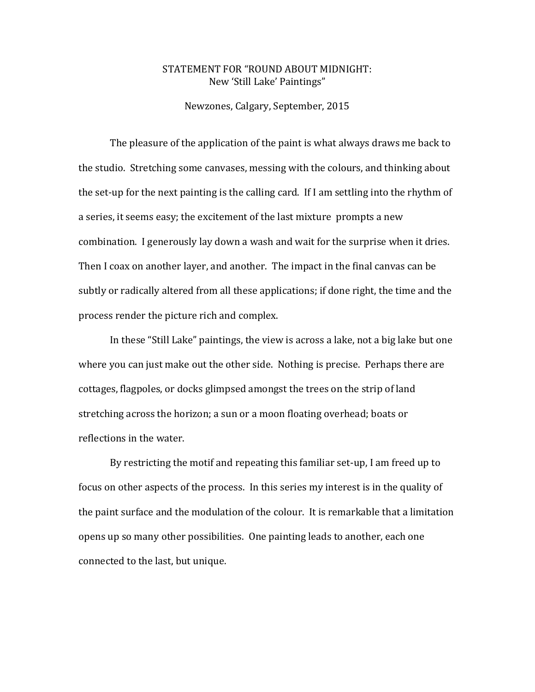## STATEMENT FOR "ROUND ABOUT MIDNIGHT: New 'Still Lake' Paintings"

Newzones, Calgary, September, 2015

The pleasure of the application of the paint is what always draws me back to the studio. Stretching some canvases, messing with the colours, and thinking about the set-up for the next painting is the calling card. If I am settling into the rhythm of a series, it seems easy; the excitement of the last mixture prompts a new combination. I generously lay down a wash and wait for the surprise when it dries. Then I coax on another layer, and another. The impact in the final canvas can be subtly or radically altered from all these applications; if done right, the time and the process render the picture rich and complex.

In these "Still Lake" paintings, the view is across a lake, not a big lake but one where you can just make out the other side. Nothing is precise. Perhaps there are cottages, flagpoles, or docks glimpsed amongst the trees on the strip of land stretching across the horizon; a sun or a moon floating overhead; boats or reflections in the water.

By restricting the motif and repeating this familiar set-up, I am freed up to focus on other aspects of the process.In this series my interest is in the quality of the paint surface and the modulation of the colour.It is remarkable that a limitation opens up so many other possibilities. One painting leads to another, each one connected to the last, but unique.